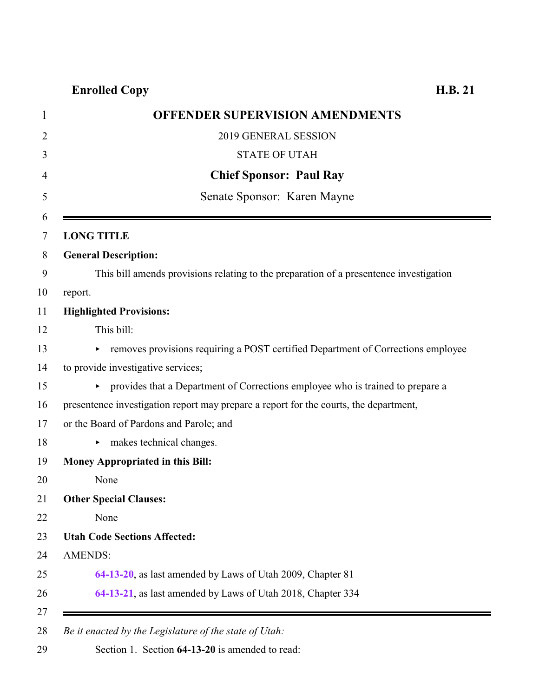# **Enrolled Copy H.B. 21**

| <b>OFFENDER SUPERVISION AMENDMENTS</b>                                                 |
|----------------------------------------------------------------------------------------|
| 2019 GENERAL SESSION                                                                   |
| <b>STATE OF UTAH</b>                                                                   |
| <b>Chief Sponsor: Paul Ray</b>                                                         |
| Senate Sponsor: Karen Mayne                                                            |
| <b>LONG TITLE</b>                                                                      |
| <b>General Description:</b>                                                            |
| This bill amends provisions relating to the preparation of a presentence investigation |
| report.                                                                                |
| <b>Highlighted Provisions:</b>                                                         |
| This bill:                                                                             |
| removes provisions requiring a POST certified Department of Corrections employee<br>Þ. |
| to provide investigative services;                                                     |
| • provides that a Department of Corrections employee who is trained to prepare a       |
| presentence investigation report may prepare a report for the courts, the department,  |
| or the Board of Pardons and Parole; and                                                |
| makes technical changes.<br>▶                                                          |
| <b>Money Appropriated in this Bill:</b>                                                |
| None                                                                                   |
| <b>Other Special Clauses:</b>                                                          |
| None                                                                                   |
| <b>Utah Code Sections Affected:</b>                                                    |
| <b>AMENDS:</b>                                                                         |
| 64-13-20, as last amended by Laws of Utah 2009, Chapter 81                             |
| 64-13-21, as last amended by Laws of Utah 2018, Chapter 334                            |

<span id="page-0-0"></span>Section 1. Section **64-13-20** is amended to read: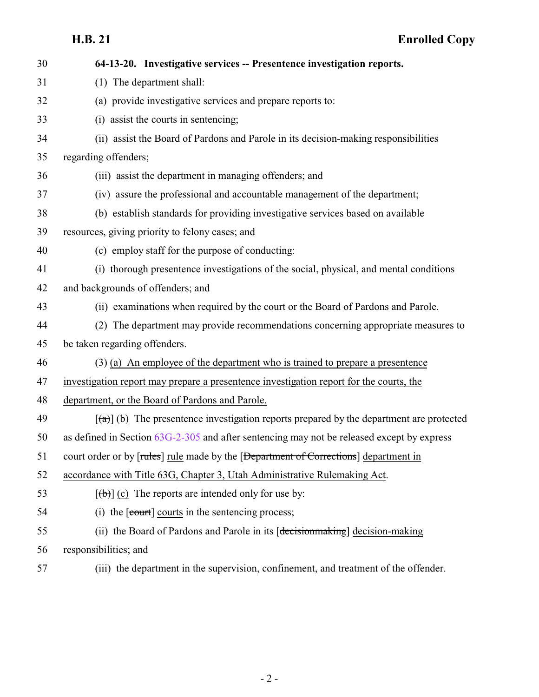| 30 | 64-13-20. Investigative services -- Presentence investigation reports.                                        |
|----|---------------------------------------------------------------------------------------------------------------|
| 31 | (1) The department shall:                                                                                     |
| 32 | (a) provide investigative services and prepare reports to:                                                    |
| 33 | (i) assist the courts in sentencing;                                                                          |
| 34 | (ii) assist the Board of Pardons and Parole in its decision-making responsibilities                           |
| 35 | regarding offenders;                                                                                          |
| 36 | (iii) assist the department in managing offenders; and                                                        |
| 37 | (iv) assure the professional and accountable management of the department;                                    |
| 38 | (b) establish standards for providing investigative services based on available                               |
| 39 | resources, giving priority to felony cases; and                                                               |
| 40 | (c) employ staff for the purpose of conducting:                                                               |
| 41 | (i) thorough presentence investigations of the social, physical, and mental conditions                        |
| 42 | and backgrounds of offenders; and                                                                             |
| 43 | (ii) examinations when required by the court or the Board of Pardons and Parole.                              |
| 44 | (2) The department may provide recommendations concerning appropriate measures to                             |
| 45 | be taken regarding offenders.                                                                                 |
| 46 | (3) (a) An employee of the department who is trained to prepare a presentence                                 |
| 47 | investigation report may prepare a presentence investigation report for the courts, the                       |
| 48 | department, or the Board of Pardons and Parole.                                                               |
| 49 | $\left[\frac{1}{2}\right]$ (b) The presentence investigation reports prepared by the department are protected |
| 50 | as defined in Section $63G-2-305$ and after sentencing may not be released except by express                  |
| 51 | court order or by [rules] rule made by the [Department of Corrections] department in                          |
| 52 | accordance with Title 63G, Chapter 3, Utah Administrative Rulemaking Act.                                     |
| 53 | $[\theta$ ) (c) The reports are intended only for use by:                                                     |
| 54 | (i) the [court] courts in the sentencing process;                                                             |
| 55 | (ii) the Board of Pardons and Parole in its [decision making] decision-making                                 |
| 56 | responsibilities; and                                                                                         |
| 57 | (iii) the department in the supervision, confinement, and treatment of the offender.                          |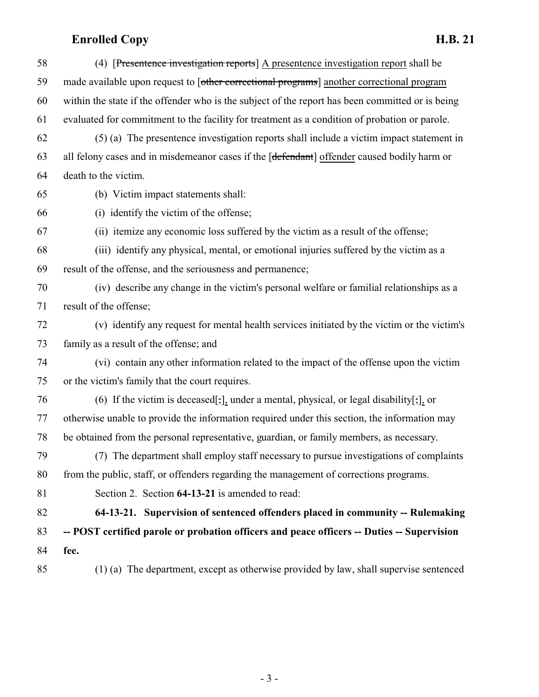# **Enrolled Copy H.B. 21**

<span id="page-2-0"></span>

| 58 | (4) [Presentence investigation reports] A presentence investigation report shall be              |
|----|--------------------------------------------------------------------------------------------------|
| 59 | made available upon request to [other correctional programs] another correctional program        |
| 60 | within the state if the offender who is the subject of the report has been committed or is being |
| 61 | evaluated for commitment to the facility for treatment as a condition of probation or parole.    |
| 62 | (5) (a) The presentence investigation reports shall include a victim impact statement in         |
| 63 | all felony cases and in misdemeanor cases if the [defendant] offender caused bodily harm or      |
| 64 | death to the victim.                                                                             |
| 65 | (b) Victim impact statements shall:                                                              |
| 66 | (i) identify the victim of the offense;                                                          |
| 67 | (ii) itemize any economic loss suffered by the victim as a result of the offense;                |
| 68 | (iii) identify any physical, mental, or emotional injuries suffered by the victim as a           |
| 69 | result of the offense, and the seriousness and permanence;                                       |
| 70 | (iv) describe any change in the victim's personal welfare or familial relationships as a         |
| 71 | result of the offense;                                                                           |
| 72 | (v) identify any request for mental health services initiated by the victim or the victim's      |
| 73 | family as a result of the offense; and                                                           |
| 74 | (vi) contain any other information related to the impact of the offense upon the victim          |
| 75 | or the victim's family that the court requires.                                                  |
| 76 | (6) If the victim is deceased[;], under a mental, physical, or legal disability[;], or           |
| 77 | otherwise unable to provide the information required under this section, the information may     |
| 78 | be obtained from the personal representative, guardian, or family members, as necessary.         |
| 79 | (7) The department shall employ staff necessary to pursue investigations of complaints           |
| 80 | from the public, staff, or offenders regarding the management of corrections programs.           |
| 81 | Section 2. Section 64-13-21 is amended to read:                                                  |
| 82 | 64-13-21. Supervision of sentenced offenders placed in community -- Rulemaking                   |
| 83 | -- POST certified parole or probation officers and peace officers -- Duties -- Supervision       |
| 84 | fee.                                                                                             |
| 85 | (1) (a) The department, except as otherwise provided by law, shall supervise sentenced           |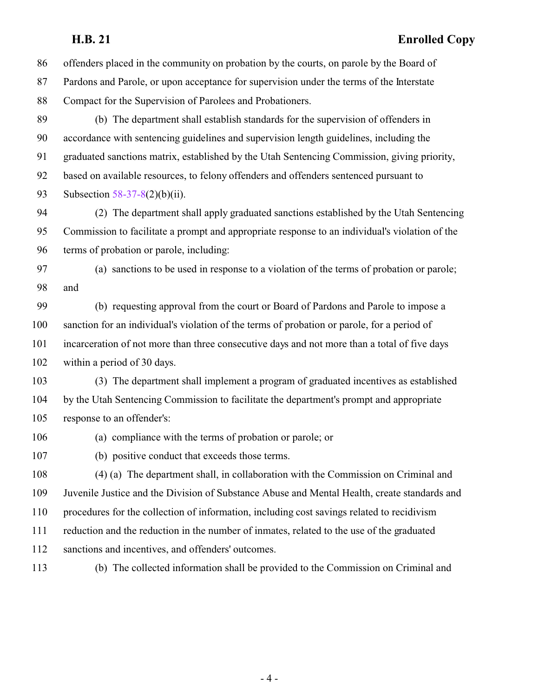### **H.B. 21 Enrolled Copy**

 offenders placed in the community on probation by the courts, on parole by the Board of Pardons and Parole, or upon acceptance for supervision under the terms of the Interstate Compact for the Supervision of Parolees and Probationers. (b) The department shall establish standards for the supervision of offenders in accordance with sentencing guidelines and supervision length guidelines, including the graduated sanctions matrix, established by the Utah Sentencing Commission, giving priority, based on available resources, to felony offenders and offenders sentenced pursuant to Subsection [58-37-8](http://le.utah.gov/UtahCode/SectionLookup.jsp?section=58-37-8&session=2019GS)(2)(b)(ii). (2) The department shall apply graduated sanctions established by the Utah Sentencing Commission to facilitate a prompt and appropriate response to an individual's violation of the terms of probation or parole, including: (a) sanctions to be used in response to a violation of the terms of probation or parole; and (b) requesting approval from the court or Board of Pardons and Parole to impose a sanction for an individual's violation of the terms of probation or parole, for a period of incarceration of not more than three consecutive days and not more than a total of five days within a period of 30 days. (3) The department shall implement a program of graduated incentives as established by the Utah Sentencing Commission to facilitate the department's prompt and appropriate response to an offender's: (a) compliance with the terms of probation or parole; or (b) positive conduct that exceeds those terms. (4) (a) The department shall, in collaboration with the Commission on Criminal and Juvenile Justice and the Division of Substance Abuse and Mental Health, create standards and procedures for the collection of information, including cost savings related to recidivism reduction and the reduction in the number of inmates, related to the use of the graduated sanctions and incentives, and offenders' outcomes. (b) The collected information shall be provided to the Commission on Criminal and

- 4 -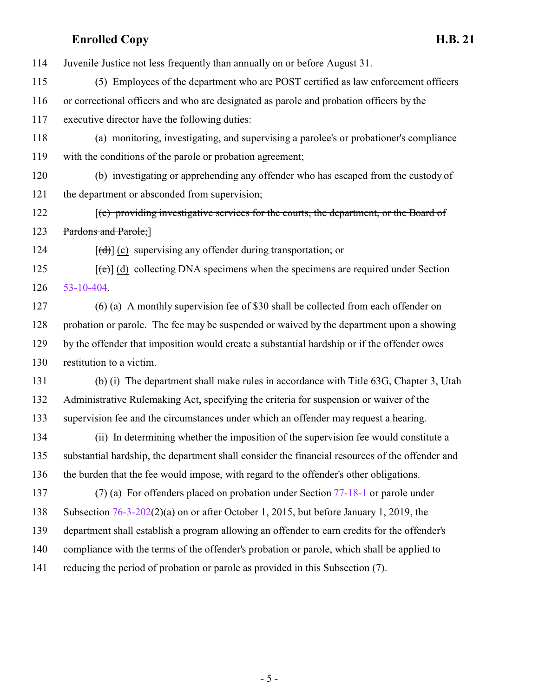### **Enrolled Copy H.B. 21**

Juvenile Justice not less frequently than annually on or before August 31.

 (5) Employees of the department who are POST certified as law enforcement officers or correctional officers and who are designated as parole and probation officers by the executive director have the following duties:

 (a) monitoring, investigating, and supervising a parolee's or probationer's compliance with the conditions of the parole or probation agreement;

 (b) investigating or apprehending any offender who has escaped from the custody of the department or absconded from supervision;

122 [(c) providing investigative services for the courts, the department, or the Board of 123 Pardons and Parole;

124  $[(d)]$  (c) supervising any offender during transportation; or

125  $[(e)]$  (d) collecting DNA specimens when the specimens are required under Section [53-10-404](http://le.utah.gov/UtahCode/SectionLookup.jsp?section=53-10-404&session=2019GS).

 (6) (a) A monthly supervision fee of \$30 shall be collected from each offender on probation or parole. The fee may be suspended or waived by the department upon a showing by the offender that imposition would create a substantial hardship or if the offender owes restitution to a victim.

 (b) (i) The department shall make rules in accordance with Title 63G, Chapter 3, Utah Administrative Rulemaking Act, specifying the criteria for suspension or waiver of the supervision fee and the circumstances under which an offender may request a hearing.

 (ii) In determining whether the imposition of the supervision fee would constitute a substantial hardship, the department shall consider the financial resources of the offender and the burden that the fee would impose, with regard to the offender's other obligations.

 (7) (a) For offenders placed on probation under Section [77-18-1](http://le.utah.gov/UtahCode/SectionLookup.jsp?section=77-18-1&session=2019GS) or parole under Subsection [76-3-202](http://le.utah.gov/UtahCode/SectionLookup.jsp?section=76-3-202&session=2019GS)(2)(a) on or after October 1, 2015, but before January 1, 2019, the department shall establish a program allowing an offender to earn credits for the offender's

compliance with the terms of the offender's probation or parole, which shall be applied to

reducing the period of probation or parole as provided in this Subsection (7).